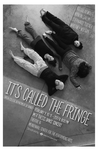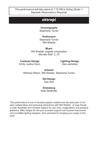*This performance will take place at 7:15 PM in Acting Studio 1. Separate Reservations Required.* 

# *ektropí*

# **Choreography**

Stephanie Turner

## **Performers**

Stephanie Turner Will Shields

### **Music**

Will Shields: original composition Michael Wall: 3\_70

#### **Costume Design**  Emily Justice Dunn

**Lighting Design** Zara Jamshed

**Artwork** Whitney Wilson, Will Shields, Stephanie Turner

> **Set Design** Dan Rist

### **Dramaturg**

Kate Seethaler

*This performance is one of several projects created over the past year of creative collaboration and whimsical adventures with Will Shields. A huge thanks to Kate Seethaler and Candice Salyers for your time, imaginations and practical guidance, Mike Vargas for the your constant support and musical instruments and incredible lighting designer, Zara Jamshed for bringing your magic to this work.*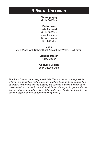# *it lies in the seams*

**Choreography**

Nicole DeWolfe

#### **Performers**

Julia Antinozzi Nicole DeWolfe Maya LaLiberté Rowan Salem Sarah Seder

#### **Music**

Julia Wolfe with Robert Black & Matthew Welch, Luc Ferrari

## **Lighting Design**

Kathy Couch

### **Costume Design**

Emily Justice Dunn

*Thank you Rowan, Sarah, Maya, and Julia: This work would not be possible without your dedication, enthusiasm, and laughter these past few months. I am so grateful for our time making, playing, and listening to Bruce together. To my creative advisors, Lester Tomé and Jim Coleman, thank you for generously sharing your wisdom during the making of this work. To my family, thank you for your constant support and encouragement along the way.*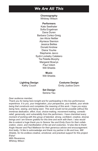# *We Are All This*

#### **Choreography** Whitney Wilson

#### **Performers**

Kate Seethaler Sofia Engelman Dana Duren Barbara Cortez-Greig Jan Alicia Nettler Alyniece Siemion Jessica Beliles Donald Andrew Diana Yourke Stephanie Jacco Sydni Lockeby Catalano Tia Petelle-Murphy Margaret Bowrys Paul Vidich Will Shields

> **Music** Will Shields

**Lighting Design** Kathy Couch

**Costume Design**

Emily Justice Dunn

#### **Set Design** Serena Yau

*Dear audience member,* 

*Thank you for being here tonight and for participating in this live performance experience. It is you, your imagination, your perspective, your beliefs, your whole being that constructs and completes the meaning of this work. I hope you enjoy being here, seeing, and being seen. This work would not be possible without the immense dedication, effort, trust, choice-making, movement-making, comedic relief, generosity, and vulnerability from the performers. I have cherished every moment of working with this group of talented, strong, confident, creative, diverse beings and I am forever grateful for this time and work with them. I also would like to extend a huge thank you to Serena Yau and Emily Dunn for their collaboration, vision, and manifestation of the set and costumes. I'd also like to thank Angie Hauser and Paul Matteson for their generous advice and encouragement. And lastly, I'd like to acknowledge and thank my partner in life and love, Will Shields, for his endless creative, emotional, and practical support for this project. Enjoy! With Reverence, Whitney Wilson*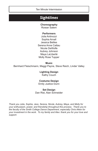Ten Minute Intermission

# *Sightlines*

**Choreography** Rowan Salem

### **Performers**

Julia Antinozzi Sophia Arnall Jessica Beliles Serena Anne Cattau Nicole DeWolfe Aubrey Johnson Maya LaLiberté Molly Rose Tupper

**Music** Bernhard Fleischmann, Maggi Payne, Steve Reich, Linder Valley

> **Lighting Design** Kathy Couch

**Costume Design** Emily Justice Dunn

### **Set Design**

Dan Rist, Alan Schneider

*Thank you Julia, Sophia, Jess, Serena, Nicole, Aubrey, Maya, and Molly for your enthusiasm, power, and friendship throughout this process. Thank you to the faculty of the Smith College Dance Department, especially Chris Aiken for your investment in the work. To my family and Alex: thank you for your love and support.*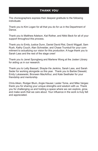# *THANK YOU*

The choreographers express their deepest gratitude to the following individuals:

Thank you to Kim Logan for all that you do for us in the Department of Dance.

Thank you to Matthew Adelson, Kat Rother, and Nikki Beck for all of your support throughout this process.

Thank you to Emily Justice Dunn, Daniel David Rist, David Wiggall, Sam Rush, Kathy Couch, Alan Schneider, and Chase Trumbull for your commitment to actualizing our vision for this production. A huge thank you to Sarah Lass and the rest of the stage crew!

Thank you to Janet Spongberg and Marlene Wong at the Josten Library for aiding us in our research.

Thank you to Letty Bassart, Shayla-Vie Jenkins, Sarah Lass, and Sarah Seder for working alongside us this year. Thank you to Barbie Diewald, Emily Lukasewski, Bronwen MacArthur, and Kate Seethaler for your friendship and mentorship.

Chris Aiken, Rodger Blum, Angie Hauser, Lester Tome, and Mike Vargas: thank you for sharing your unique strengths and wisdom with us. Thank you for challenging us and holding a space where we can explore, grow, and make work that we care about. Your influence in the work is truly felt and appreciated.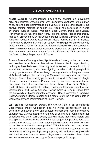# *ABOUT THE ARTISTS*

**Nicole DeWolfe** (Choreographer, *it lies in the seams*) is a movement artist and educator whose current work investigates patterns in the human mind, as she uses performance as a venue to explore and adapt to the always shifting realities of human life. Nicole has performed in works by artists such as Wendy Woodson, Sean Curran, Paula Josa-Jones/ Performance Works, and Jean Abreu, among others. Her choreography has been presented at Smith College, Roger Williams University, and the American College Dance Association. Nicole earned her BA in Dance/ Performance Studies, Summa Cum Laude, from Roger Williams University in 2013 and her 200-hr YTT from the Kripalu School of Yoga & Ayurveda in 2016. Nicole has taught dance classes to students of all ages throughout Massachusetts, and is currently a Teaching Fellow and MFA candidate in the Smith College Department of Dance.

**Rowan Salem** (Choreographer, *Sightlines*) is a choreographer, performer, and teacher from Boston, MA whose interests lie in improvisation, technique, links between philosophy and movement, the relationship of sound and movement, and investigating questions about perspective through performance. She has taught undergraduate technique courses at Amherst College, the University of Massachusetts Amherst, and Smith College. Rowan has recently performed in the work of Chris Aiken, Angie Hauser, Lorraine Chapman, Pamela Newell, Jim Coleman, and Terese Freedman. Her choreography has been shown at Amherst College, Smith College, Green Street Studios, The Dance Complex, Spontaneous Celebrations, and Lesley College. Rowan holds a BFA in Dance from the University of Massachusetts, Amherst. She is currently a Teaching Fellow/Gretchen Moran Scholar and a Masters of Fine Arts Candidate in Choreography and Performance at Smith College.

**Will Shields** (Composer, *ektropi, We Are All This*) is an autodidactic Experimental Music Composer, and he works collaboratively as a performer, composer, actor, and director for interdisciplinary performance experiences. Curious about the nuances of sound as a transmission for consciousness shifts, Will is deeply studying music theory and history and is beginning to remove the chromatic scale/equal temperance fetters to explore the infinite, microtonal landscape.Neglecting the time honored axiom "Music and noise are opposites", Will thinks of sound composition as an organizational design process aimed at indeterminacy in music, and he attempts to integrate biophony, geophony and anthropophony sounds with live instruments–some homemade, others a combination of technique and instruments–into an ecology of "soundscape guild design."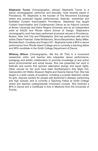**Stephanie Turner** (Choreographer, *ektropi*) Stephanie Turner is a dance choreographer, performer and educator, most recently based in Providence, RI. Stephanie is the founder of The Movement Exchange where she produced regular performances, festivals, workshops and facilitated Contact Improvisation Providence. Stephanie has taught Contact Improvisation and Contemporary Dance as an Adjunct Lecturer at Brown University and Salve Regina University and as an independent artist at AS220 and Rhode Island School of Design. Stephanie's choreographic work has been performed at several venues in Providence, Boston, New York City and Philadelphia. She has performed with and for artists Olase Freeman, Katie McNamara, Shura Baryshnikov, Betsy Miller, Michelle Bach- Coulibaly and Project 401. Stephanie holds a BFA in dance performance from Rhode Island College and is currently a teaching fellow and MFA candidate in the Smith College Department of Dance.

**Whitney Wilson** (Choreographer, *We Are All This*) is a movement researcher, artist, and teacher who integrates dance performance, pedagogy and artistic collaboration to promote knowledge of and action about environmental and social issues. She has presented her work in festivals and events that sponsor alternative energy and equal rights. Other venues for her work have been Northampton's Arts Night Out, Gainesville's Art Walks, Museum Nights and Swamp Dance Fest. She has taught in a wide variety of locations, including a juvenile detention center for girls, daycare centers for people with Alzheimer's disease, performing arts high schools, and is currently a Teaching Fellow at Smith College where she teaches undergraduate movement courses. She received a BFA in Dance and a Certificate in Arts in Medicine from the University of Florida.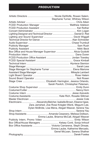# *PRODUCTION*

|                                                                | Stephanie Turner, Whitney Wilson                     |
|----------------------------------------------------------------|------------------------------------------------------|
|                                                                |                                                      |
|                                                                |                                                      |
|                                                                |                                                      |
|                                                                |                                                      |
| Lighting Designer and Technical Director  Daniel D. Rist       |                                                      |
|                                                                |                                                      |
|                                                                |                                                      |
|                                                                |                                                      |
|                                                                |                                                      |
|                                                                |                                                      |
| Box Office and House Manager Supervisor  Alicia Guidotti       |                                                      |
|                                                                |                                                      |
|                                                                |                                                      |
|                                                                |                                                      |
|                                                                |                                                      |
|                                                                |                                                      |
|                                                                |                                                      |
|                                                                |                                                      |
|                                                                |                                                      |
|                                                                |                                                      |
| Stage Crew  Elizabeth Harrington, Jessica Orlando,             |                                                      |
|                                                                | Sarah Pavlich, Christopher Petersen,                 |
|                                                                |                                                      |
|                                                                |                                                      |
|                                                                |                                                      |
|                                                                |                                                      |
|                                                                |                                                      |
| Electricians  Alexandra Belcher, Isabelle Brown, Eleanor Igwe, |                                                      |
|                                                                | Zara Jamshed, Zoe Rose Kriegler-Wenk, Megumi Lee,    |
|                                                                | Dylan McBride, Lisa Mena, Abigail Weaver, Serena Yau |
|                                                                |                                                      |
| Shop Assistants  Amanda Cesarano, Melissa Dollison,            |                                                      |
|                                                                | Emma Laube, Brianna McCall, Abigail Weaver           |
|                                                                |                                                      |
| Box Office/House Managers  Kelsey Conti, Sonja Imhoof          |                                                      |
| Box Office Assistants  Victoria Camarena, Steph Dinsae,        |                                                      |
|                                                                | Emma Laube, Katherine Mercado,                       |
|                                                                | Genel McLean, Sarena Shafner                         |
|                                                                |                                                      |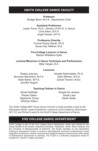## *SMITH COLLEGE DANCE FACULTY*

**Professor**  Rodger Blum, M.F.A., *Department Chair*

**Assistant Professors** Lester Tome, Ph.D., *Director of M.F.A. in Dance* Chris Aiken, M.F.A. Angie Hauser, M.F.A.

> **Professors Emerita** Yvonne Payne Daniel, Ph.D. Susan Kay Waltner, M.S.

**Five-College Lecturer in Dance**  Marilyn Middleton-Sylla

**Lecturer/Musician in Dance Technique and Performance**  Mike Vargas, B.A.

#### **Lecturers**

Shakia Johnson Bronwen MacArthur, M.F.A. Katie Martin, M.F.A. Jennifer Nugent

Ninette Rothmöeller, Ph.D. Kelly Silliman, M.F.A. Daniel Trenner, M.Ed.

#### **Teaching Fellows in Dance**

Nicole DeWolfe Rowan Salem Stephanie Turner Whitney Wilson

Shayla-Vie Jenkins Sarah Lass Sarah Seder

*The Smith College MFA Thesis Dance Concert is made possible in part by the Sharonjean Moser Leeds Endowment, a generous fund created by Sharonjean (SC '67) and Richard Leeds for the Smith College Department of Dance.*

## *FIVE COLLEGE DANCE DEPARTMENT*

Smith College is part of the Five College Dance Department, which was formed for the mutual benefit of all member institutions (Amherst, Hampshire, Smith, Mount Holyoke and the University of Massachusetts at Amherst). The faculty operates as one department unifying its educational mission to include a well-balanced curriculum emphasizing a broad integration of technical, creative, historical and analytical aspects of dance and a wide variety of philosophical approaches to teaching. The FCDD is a nationally recognized model for excellence in dance in higher education.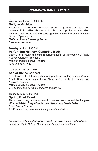## *UPCOMING DANCE EVENTS*

Wednesday, March 8, 5:00 PM

### **Body as Archive**

Regarding the persistent essential friction of gesture, attention and memory. Bebe Miller discusses the human capacity for embodied reference and recall, and the choreographic potential in these dynamic vectors of perception.

*Neilson Library Browsing Room Free and open to all*

Tuesday, April 4, 5:00 PM

## **Performing Memory, Conjuring Body**

Bebe Miller presents a lecture-in-performance in collaboration with Angie Hauser, Assistant Professor.

*Hallie Flanagan Studio Theatre*

*Free and open to all*

### April 13, 14, 15, 8:00 PM

### **Senior Dance Concert**

Select works of outstanding choreography by graduating seniors: Sophia Arnall, Dana Duren, Janis Luke, Alison Marsh, Michaela Rohde, and Alyniece Siemion.

#### *Hallie Flanagan Studio Theatre*

*\$10 general admission, \$5 students and seniors*

Thursday, May 4, 8:00 PM

### **Spring Grad Event**

This annual spring performance will showcase new solo work by first year MFA candidates: Shayla-Vie Jenkins, Sarah Lass, Sarah Seder.

### *Scott Dance Studio*

*\$1.00 at the door, no reservations, general admission*

*For more details about upcoming events, see www.smith.edu/smitharts or visit the Smith College Department of Dance on Facebook.*